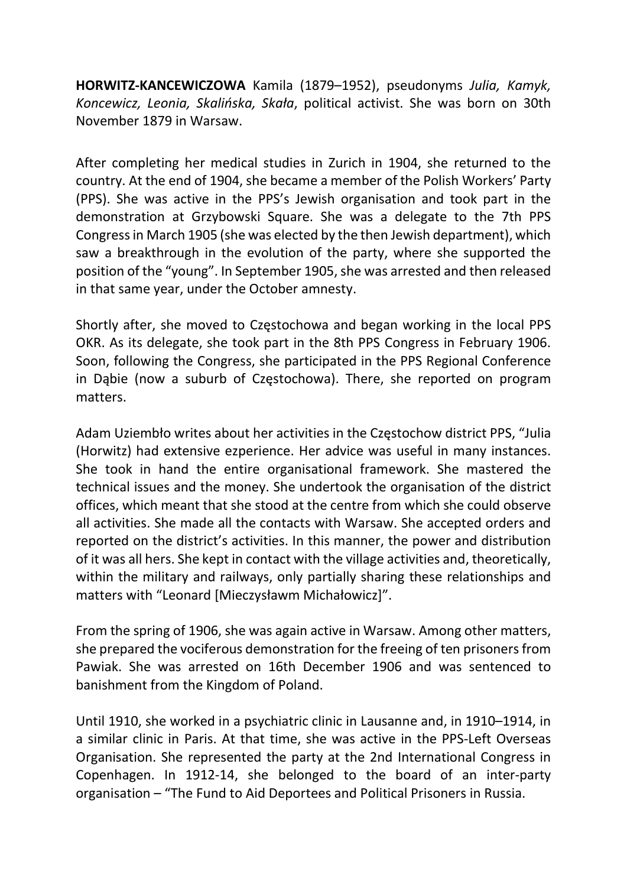HORWITZ-KANCEWICZOWA Kamila (1879–1952), pseudonyms Julia, Kamyk, Koncewicz, Leonia, Skalińska, Skała, political activist. She was born on 30th November 1879 in Warsaw.

After completing her medical studies in Zurich in 1904, she returned to the country. At the end of 1904, she became a member of the Polish Workers' Party (PPS). She was active in the PPS's Jewish organisation and took part in the demonstration at Grzybowski Square. She was a delegate to the 7th PPS Congress in March 1905 (she was elected by the then Jewish department), which saw a breakthrough in the evolution of the party, where she supported the position of the "young". In September 1905, she was arrested and then released in that same year, under the October amnesty.

Shortly after, she moved to Częstochowa and began working in the local PPS OKR. As its delegate, she took part in the 8th PPS Congress in February 1906. Soon, following the Congress, she participated in the PPS Regional Conference in Dąbie (now a suburb of Częstochowa). There, she reported on program matters.

Adam Uziembło writes about her activities in the Częstochow district PPS, "Julia (Horwitz) had extensive ezperience. Her advice was useful in many instances. She took in hand the entire organisational framework. She mastered the technical issues and the money. She undertook the organisation of the district offices, which meant that she stood at the centre from which she could observe all activities. She made all the contacts with Warsaw. She accepted orders and reported on the district's activities. In this manner, the power and distribution of it was all hers. She kept in contact with the village activities and, theoretically, within the military and railways, only partially sharing these relationships and matters with "Leonard [Mieczysławm Michałowicz]".

From the spring of 1906, she was again active in Warsaw. Among other matters, she prepared the vociferous demonstration for the freeing of ten prisoners from Pawiak. She was arrested on 16th December 1906 and was sentenced to banishment from the Kingdom of Poland.

Until 1910, she worked in a psychiatric clinic in Lausanne and, in 1910–1914, in a similar clinic in Paris. At that time, she was active in the PPS-Left Overseas Organisation. She represented the party at the 2nd International Congress in Copenhagen. In 1912-14, she belonged to the board of an inter-party organisation – "The Fund to Aid Deportees and Political Prisoners in Russia.